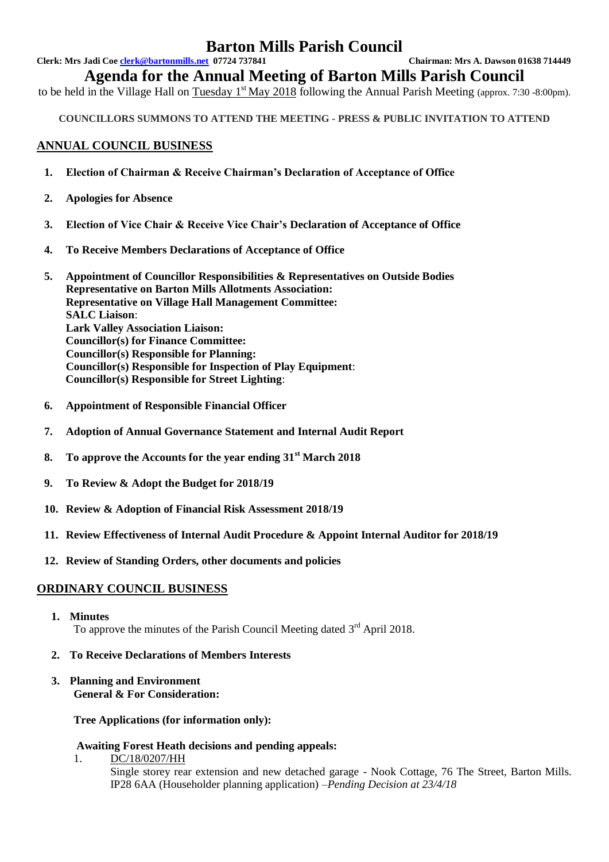# **Barton Mills Parish Council**

**Clerk: Mrs Jadi Coe clerk@bartonmills.net 07724 737841 Chairman: Mrs A. Dawson 01638 714449**

**Agenda for the Annual Meeting of Barton Mills Parish Council**

to be held in the Village Hall on Tuesday  $1^{st}$  May 2018 following the Annual Parish Meeting (approx. 7:30 -8:00pm).

**COUNCILLORS SUMMONS TO ATTEND THE MEETING - PRESS & PUBLIC INVITATION TO ATTEND**

## **ANNUAL COUNCIL BUSINESS**

- **1. Election of Chairman & Receive Chairman's Declaration of Acceptance of Office**
- **2. Apologies for Absence**
- **3. Election of Vice Chair & Receive Vice Chair's Declaration of Acceptance of Office**
- **4. To Receive Members Declarations of Acceptance of Office**
- **5. Appointment of Councillor Responsibilities & Representatives on Outside Bodies Representative on Barton Mills Allotments Association: Representative on Village Hall Management Committee: SALC Liaison**: **Lark Valley Association Liaison: Councillor(s) for Finance Committee: Councillor(s) Responsible for Planning: Councillor(s) Responsible for Inspection of Play Equipment**: **Councillor(s) Responsible for Street Lighting**:
- **6. Appointment of Responsible Financial Officer**
- **7. Adoption of Annual Governance Statement and Internal Audit Report**
- **8. To approve the Accounts for the year ending 31st March 2018**
- **9. To Review & Adopt the Budget for 2018/19**
- **10. Review & Adoption of Financial Risk Assessment 2018/19**
- **11. Review Effectiveness of Internal Audit Procedure & Appoint Internal Auditor for 2018/19**
- **12. Review of Standing Orders, other documents and policies**

## **ORDINARY COUNCIL BUSINESS**

**1. Minutes**

To approve the minutes of the Parish Council Meeting dated  $3<sup>rd</sup>$  April 2018.

- **2. To Receive Declarations of Members Interests**
- **3. Planning and Environment General & For Consideration:**

**Tree Applications (for information only):**

### **Awaiting Forest Heath decisions and pending appeals:**

1. DC/18/0207/HH

Single storey rear extension and new detached garage - Nook Cottage, 76 The Street, Barton Mills. IP28 6AA (Householder planning application) –*Pending Decision at 23/4/18*